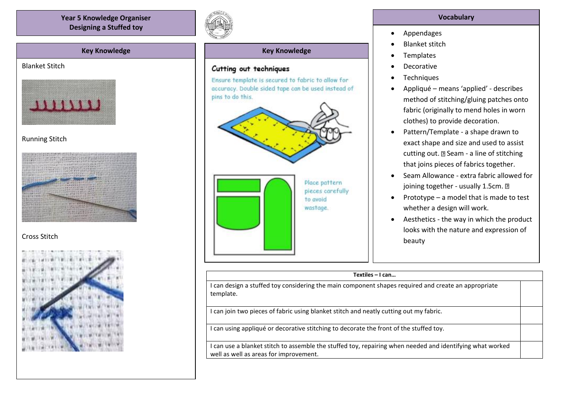**Year 5 Knowledge Organiser Designing a Stuffed toy**

## **Key Knowledge**

## Blanket Stitch



## Running Stitch



# Cross Stitch





## **Key Knowledge**

### Cutting out techniques

Ensure template is secured to fabric to allow for accuracy. Double sided tape can be used instead of pins to do this.



#### **Vocabulary**

- Appendages
- Blanket stitch
- **Templates**
- Decorative
- **Techniques**
- Appliqué means 'applied' describes method of stitching/gluing patches onto fabric (originally to mend holes in worn clothes) to provide decoration.
- Pattern/Template a shape drawn to exact shape and size and used to assist cutting out. a Seam - a line of stitching that joins pieces of fabrics together.
- Seam Allowance extra fabric allowed for joining together - usually 1.5cm. ?
- Prototype a model that is made to test whether a design will work.
- Aesthetics the way in which the product looks with the nature and expression of beauty

| Textiles - I can                                                                                                                                    |  |
|-----------------------------------------------------------------------------------------------------------------------------------------------------|--|
| can design a stuffed toy considering the main component shapes required and create an appropriate<br>template.                                      |  |
| can join two pieces of fabric using blanket stitch and neatly cutting out my fabric.                                                                |  |
| I can using appliqué or decorative stitching to decorate the front of the stuffed toy.                                                              |  |
| I can use a blanket stitch to assemble the stuffed toy, repairing when needed and identifying what worked<br>well as well as areas for improvement. |  |